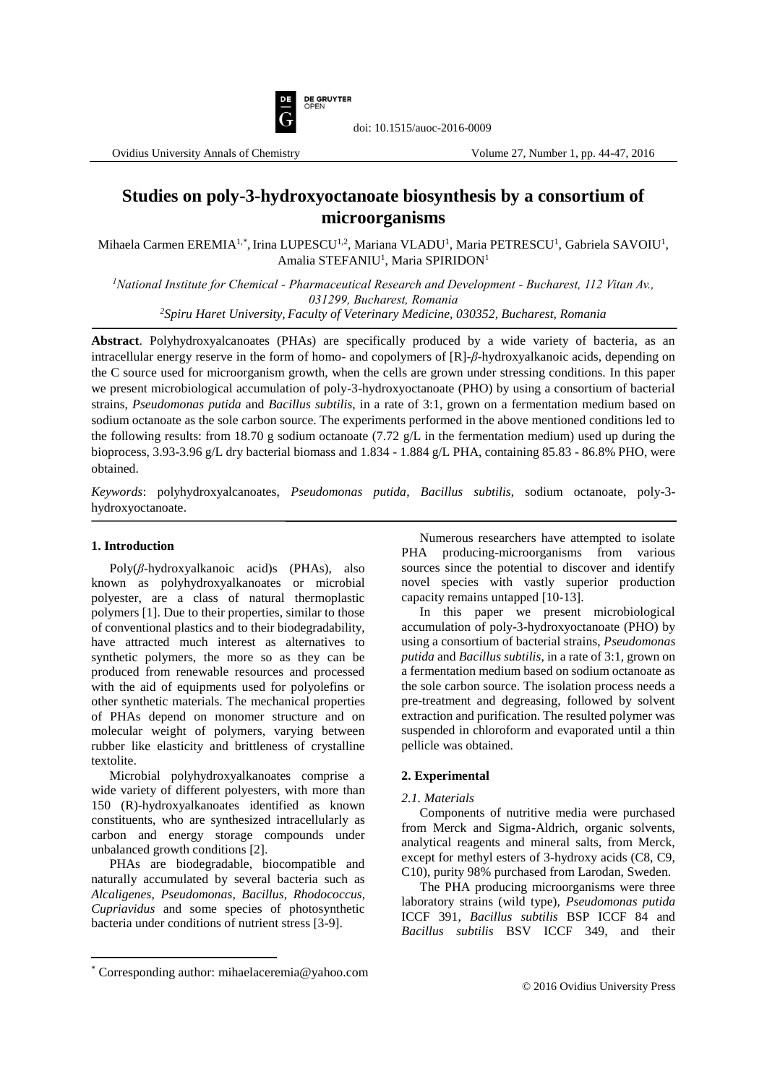

doi: 10.1515/auoc-2016-0009

# **Studies on poly-3-hydroxyoctanoate biosynthesis by a consortium of microorganisms**

Mihaela Carmen EREMIA $^{1,*}$ , Irina LUPESCU $^{1,2}$ , Mariana VLADU $^{1}$ , Maria PETRESCU $^{1}$ , Gabriela SAVOIU $^{1}$ , Amalia STEFANIU<sup>1</sup>, Maria SPIRIDON<sup>1</sup>

*<sup>1</sup>National Institute for Chemical - Pharmaceutical Research and Development - Bucharest, 112 Vitan Av., 031299, Bucharest, Romania <sup>2</sup>Spiru Haret University, Faculty of Veterinary Medicine, 030352, Bucharest, Romania*

**Abstract**. Polyhydroxyalcanoates (PHAs) are specifically produced by a wide variety of bacteria, as an intracellular energy reserve in the form of homo- and copolymers of [R]-*β*-hydroxyalkanoic acids, depending on the C source used for microorganism growth, when the cells are grown under stressing conditions. In this paper we present microbiological accumulation of poly-3-hydroxyoctanoate (PHO) by using a consortium of bacterial strains, *Pseudomonas putida* and *Bacillus subtilis*, in a rate of 3:1, grown on a fermentation medium based on sodium octanoate as the sole carbon source. The experiments performed in the above mentioned conditions led to the following results: from 18.70 g sodium octanoate (7.72 g/L in the fermentation medium) used up during the bioprocess, 3.93-3.96 g/L dry bacterial biomass and 1.834 - 1.884 g/L PHA, containing 85.83 - 86.8% PHO, were obtained.

*Keywords*: polyhydroxyalcanoates, *Pseudomonas putida*, *Bacillus subtilis*, sodium octanoate, poly-3 hydroxyoctanoate.

## **1. Introduction**

 $\overline{a}$ 

Poly(*β*-hydroxyalkanoic acid)s (PHAs), also known as polyhydroxyalkanoates or microbial polyester, are a class of natural thermoplastic polymers [1]. Due to their properties, similar to those of conventional plastics and to their biodegradability, have attracted much interest as alternatives to synthetic polymers, the more so as they can be produced from renewable resources and processed with the aid of equipments used for polyolefins or other synthetic materials. The mechanical properties of PHAs depend on monomer structure and on molecular weight of polymers, varying between rubber like elasticity and brittleness of crystalline textolite.

Microbial polyhydroxyalkanoates comprise a wide variety of different polyesters, with more than 150 (R)-hydroxyalkanoates identified as known constituents, who are synthesized intracellularly as carbon and energy storage compounds under unbalanced growth conditions [2].

PHAs are biodegradable, biocompatible and naturally accumulated by several bacteria such as *Alcaligenes*, *Pseudomonas*, *Bacillus*, *Rhodococcus*, *Cupriavidus* and some species of photosynthetic bacteria under conditions of nutrient stress [3-9].

Numerous researchers have attempted to isolate PHA producing-microorganisms from various sources since the potential to discover and identify novel species with vastly superior production capacity remains untapped [10-13].

In this paper we present microbiological accumulation of poly-3-hydroxyoctanoate (PHO) by using a consortium of bacterial strains, *Pseudomonas putida* and *Bacillus subtilis*, in a rate of 3:1, grown on a fermentation medium based on sodium octanoate as the sole carbon source. The isolation process needs a pre-treatment and degreasing, followed by solvent extraction and purification. The resulted polymer was suspended in chloroform and evaporated until a thin pellicle was obtained.

#### **2. Experimental**

#### *2.1. Materials*

Components of nutritive media were purchased from Merck and Sigma-Aldrich, organic solvents, analytical reagents and mineral salts, from Merck, except for methyl esters of 3-hydroxy acids (C8, C9, C10), purity 98% purchased from Larodan, Sweden.

The PHA producing microorganisms were three laboratory strains (wild type), *Pseudomonas putida* ICCF 391, *Bacillus subtilis* BSP ICCF 84 and *Bacillus subtilis* BSV ICCF 349, and their

<sup>\*</sup> Corresponding author: mihaelaceremia@yahoo.com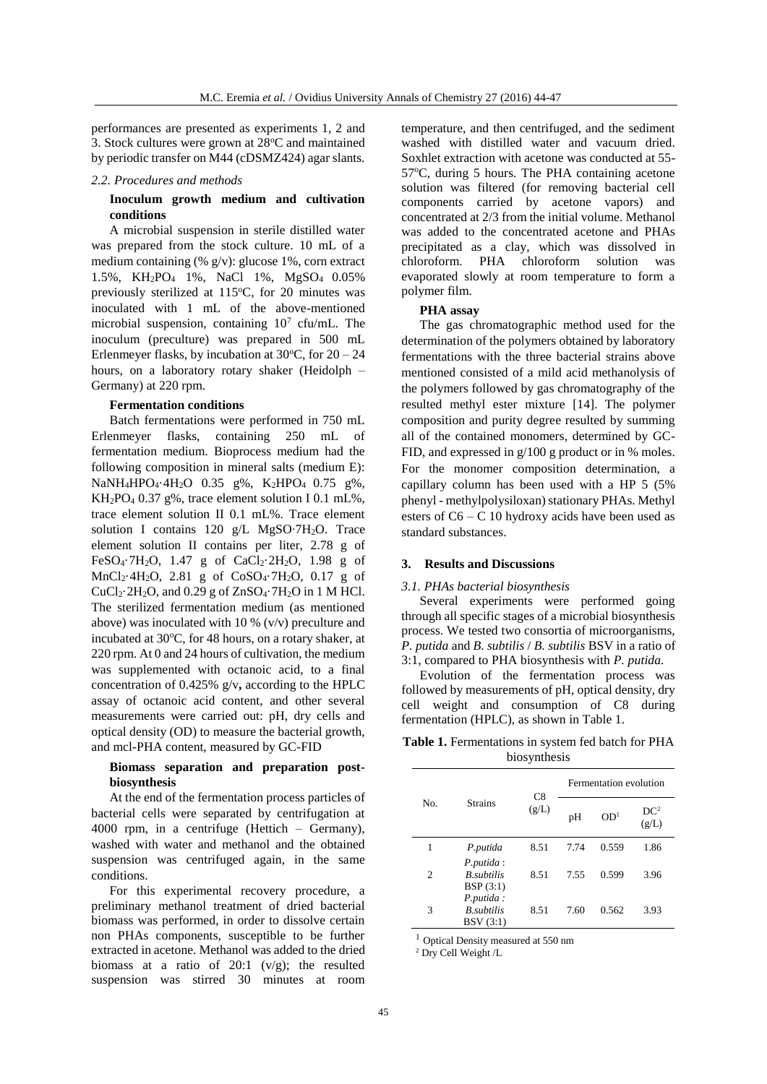performances are presented as experiments 1, 2 and 3. Stock cultures were grown at 28<sup>o</sup>C and maintained by periodic transfer on M44 (cDSMZ424) agar slants.

#### *2.2. Procedures and methods*

# **Inoculum growth medium and cultivation conditions**

A microbial suspension in sterile distilled water was prepared from the stock culture. 10 mL of a medium containing (% g/v): glucose 1%, corn extract 1.5%, KH2PO<sup>4</sup> 1%, NaCl 1%, MgSO4 0.05% previously sterilized at  $115^{\circ}$ C, for 20 minutes was inoculated with 1 mL of the above-mentioned microbial suspension, containing  $10^7$  cfu/mL. The inoculum (preculture) was prepared in 500 mL Erlenmeyer flasks, by incubation at  $30^{\circ}$ C, for  $20 - 24$ hours, on a laboratory rotary shaker (Heidolph – Germany) at 220 rpm.

### **Fermentation conditions**

Batch fermentations were performed in 750 mL Erlenmeyer flasks, containing 250 mL of fermentation medium. Bioprocess medium had the following composition in mineral salts (medium E): NaNH<sub>4</sub>HPO<sub>4</sub>·4H<sub>2</sub>O 0.35 g%, K<sub>2</sub>HPO<sub>4</sub> 0.75 g%, KH2PO<sup>4</sup> 0.37 g%, trace element solution I 0.1 mL%, trace element solution II 0.1 mL%. Trace element solution I contains 120 g/L MgSO∙7H2O. Trace element solution II contains per liter, 2.78 g of FeSO<sub>4</sub>·7H<sub>2</sub>O, 1.47 g of CaCl<sub>2</sub>·2H<sub>2</sub>O, 1.98 g of MnCl2·4H2O, 2.81 g of CoSO4·7H2O, 0.17 g of  $CuCl<sub>2</sub>·2H<sub>2</sub>O$ , and 0.29 g of  $ZnSO<sub>4</sub>·7H<sub>2</sub>O$  in 1 M HCl. The sterilized fermentation medium (as mentioned above) was inoculated with 10 % (v/v) preculture and incubated at 30°C, for 48 hours, on a rotary shaker, at 220 rpm. At 0 and 24 hours of cultivation, the medium was supplemented with octanoic acid, to a final concentration of 0.425% g/v**,** according to the HPLC assay of octanoic acid content, and other several measurements were carried out: pH, dry cells and optical density (OD) to measure the bacterial growth, and mcl-PHA content, measured by GC-FID

## **Biomass separation and preparation postbiosynthesis**

At the end of the fermentation process particles of bacterial cells were separated by centrifugation at 4000 rpm, in a centrifuge (Hettich – Germany), washed with water and methanol and the obtained suspension was centrifuged again, in the same conditions.

For this experimental recovery procedure, a preliminary methanol treatment of dried bacterial biomass was performed, in order to dissolve certain non PHAs components, susceptible to be further extracted in acetone. Methanol was added to the dried biomass at a ratio of 20:1  $(v/g)$ ; the resulted suspension was stirred 30 minutes at room

temperature, and then centrifuged, and the sediment washed with distilled water and vacuum dried. Soxhlet extraction with acetone was conducted at 55-  $57^{\circ}$ C, during 5 hours. The PHA containing acetone solution was filtered (for removing bacterial cell components carried by acetone vapors) and concentrated at 2/3 from the initial volume. Methanol was added to the concentrated acetone and PHAs precipitated as a clay, which was dissolved in chloroform. PHA chloroform solution was evaporated slowly at room temperature to form a polymer film.

#### **PHA assay**

The gas chromatographic method used for the determination of the polymers obtained by laboratory fermentations with the three bacterial strains above mentioned consisted of a mild acid methanolysis of the polymers followed by gas chromatography of the resulted methyl ester mixture [14]. The polymer composition and purity degree resulted by summing all of the contained monomers, determined by GC-FID, and expressed in g/100 g product or in % moles. For the monomer composition determination, a capillary column has been used with a HP 5 (5% phenyl - methylpolysiloxan) stationary PHAs. Methyl esters of  $C6 - C$  10 hydroxy acids have been used as standard substances.

### **3. Results and Discussions**

#### *3.1. PHAs bacterial biosynthesis*

Several experiments were performed going through all specific stages of a microbial biosynthesis process. We tested two consortia of microorganisms, *P. putida* and *B. subtilis* / *B. subtilis* BSV in a ratio of 3:1, compared to PHA biosynthesis with *P. putida.*

Evolution of the fermentation process was followed by measurements of pH, optical density, dry cell weight and consumption of C8 during fermentation (HPLC), as shown in Table 1.

**Table 1.** Fermentations in system fed batch for PHA biosynthesis

| No. | <b>Strains</b>                                     | C8<br>(g/L) | Fermentation evolution |                 |                          |
|-----|----------------------------------------------------|-------------|------------------------|-----------------|--------------------------|
|     |                                                    |             | pH                     | OD <sup>1</sup> | DC <sup>2</sup><br>(g/L) |
| 1   | P.putida                                           | 8.51        | 7.74                   | 0.559           | 1.86                     |
| 2   | P.putida:<br><b>R</b> subtilis<br><b>BSP</b> (3:1) | 8.51        | 7.55                   | 0.599           | 3.96                     |
| 3   | P.putida:<br><b>B</b> .subtilis<br>BSV (3:1)       | 8.51        | 7.60                   | 0.562           | 3.93                     |

 $1$  Optical Density measured at 550 nm

<sup>2</sup> Dry Cell Weight /L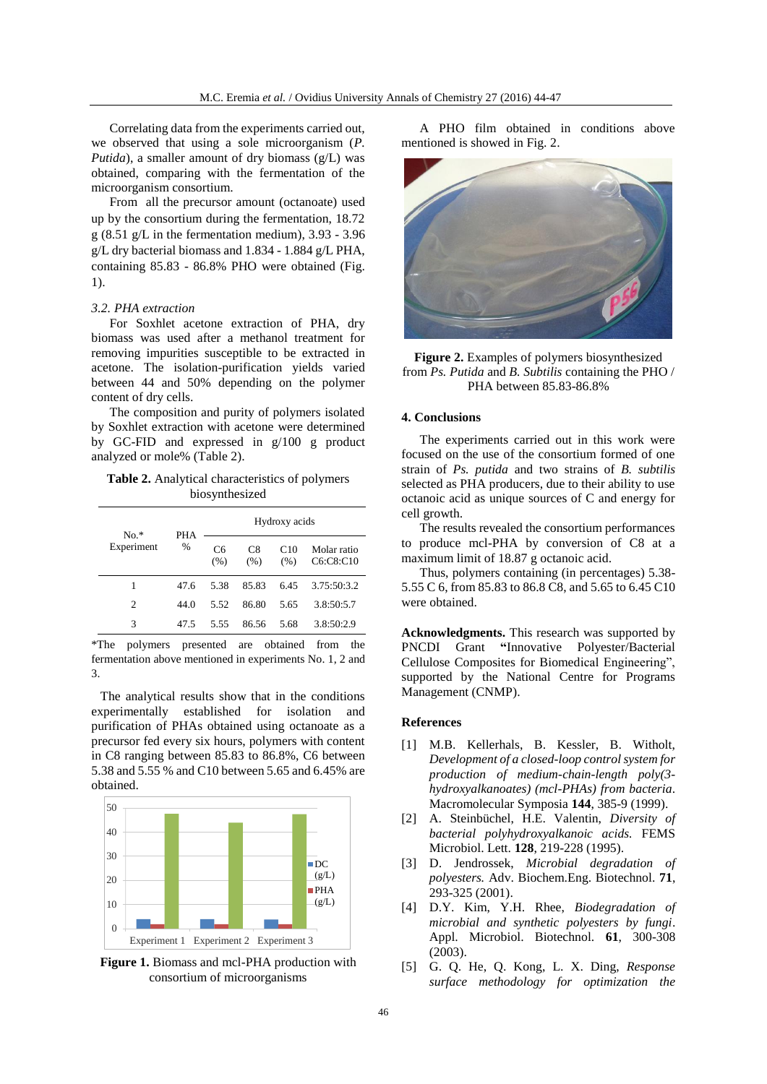Correlating data from the experiments carried out, we observed that using a sole microorganism (*P. Putida*), a smaller amount of dry biomass (g/L) was obtained, comparing with the fermentation of the microorganism consortium.

From all the precursor amount (octanoate) used up by the consortium during the fermentation, 18.72  $g$  (8.51 g/L in the fermentation medium), 3.93 - 3.96 g/L dry bacterial biomass and 1.834 - 1.884 g/L PHA, containing 85.83 - 86.8% PHO were obtained (Fig. 1).

# *3.2. PHA extraction*

For Soxhlet acetone extraction of PHA, dry biomass was used after a methanol treatment for removing impurities susceptible to be extracted in acetone. The isolation-purification yields varied between 44 and 50% depending on the polymer content of dry cells.

The composition and purity of polymers isolated by Soxhlet extraction with acetone were determined by GC-FID and expressed in g/100 g product analyzed or mole% (Table 2).

**Table 2.** Analytical characteristics of polymers biosynthesized

| $No.*$         | PHA  | Hydroxy acids |            |                         |                          |  |
|----------------|------|---------------|------------|-------------------------|--------------------------|--|
| Experiment     | %    | C6<br>(% )    | C8<br>(% ) | C <sub>10</sub><br>(% ) | Molar ratio<br>C6:C8:C10 |  |
| 1              | 47.6 | 5.38          | 85.83      | 6.45                    | 3.75:50:3.2              |  |
| $\overline{c}$ | 44.0 | 5.52          | 86.80      | 5.65                    | 3.8:50:5.7               |  |
| 3              | 47.5 | 5.55          | 86.56      | 5.68                    | 3.8:50:2.9               |  |

\*The polymers presented are obtained from the fermentation above mentioned in experiments No. 1, 2 and 3.

The analytical results show that in the conditions experimentally established for isolation and purification of PHAs obtained using octanoate as a precursor fed every six hours, polymers with content in C8 ranging between 85.83 to 86.8%, C6 between 5.38 and 5.55 % and C10 between 5.65 and 6.45% are obtained.



**Figure 1.** Biomass and mcl-PHA production with consortium of microorganisms

A PHO film obtained in conditions above mentioned is showed in Fig. 2.



**Figure 2.** Examples of polymers biosynthesized from *Ps. Putida* and *B. Subtilis* containing the PHO / PHA between 85.83-86.8%

# **4. Conclusions**

The experiments carried out in this work were focused on the use of the consortium formed of one strain of *Ps. putida* and two strains of *B. subtilis*  selected as PHA producers, due to their ability to use octanoic acid as unique sources of C and energy for cell growth.

The results revealed the consortium performances to produce mcl-PHA by conversion of C8 at a maximum limit of 18.87 g octanoic acid.

Thus, polymers containing (in percentages) 5.38- 5.55 C 6, from 85.83 to 86.8 C8, and 5.65 to 6.45 C10 were obtained.

**Acknowledgments.** This research was supported by PNCDI Grant **"**Innovative Polyester/Bacterial Cellulose Composites for Biomedical Engineering", supported by the National Centre for Programs Management (CNMP).

#### **References**

- [1] M.B. Kellerhals, B. Kessler, B. Witholt, *Development of a closed-loop control system for production of medium-chain-length poly(3 hydroxyalkanoates) (mcl-PHAs) from bacteria*. Macromolecular Symposia **144**, 385-9 (1999).
- [2] A. Steinbüchel, H.E. Valentin, *Diversity of bacterial polyhydroxyalkanoic acids.* FEMS Microbiol. Lett. **128**, 219-228 (1995).
- [3] D. Jendrossek, *Microbial degradation of polyesters.* Adv. Biochem.Eng. Biotechnol. **71**, 293-325 (2001).
- [4] D.Y. Kim, Y.H. Rhee, *Biodegradation of microbial and synthetic polyesters by fungi*. Appl. Microbiol. Biotechnol. **61**, 300-308 (2003).
- [5] G. Q. He, Q. Kong, L. X. Ding, *Response surface methodology for optimization the*